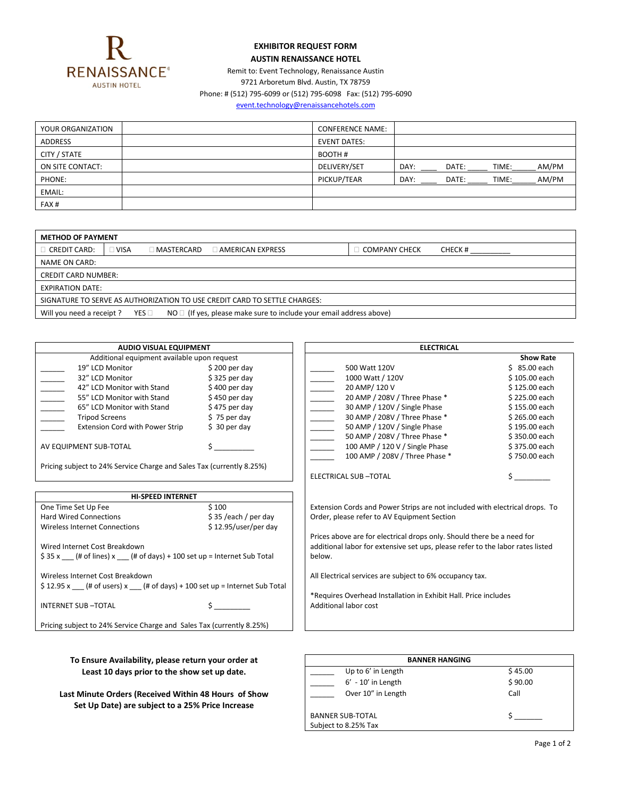

## **EXHIBITOR REQUEST FORM AUSTIN RENAISSANCE HOTEL**

Remit to: Event Technology, Renaissance Austin 9721 Arboretum Blvd. Austin, TX 78759

Phone: # (512) 795-6099 or (512) 795-6098 Fax: (512) 795-6090

[event.technology@renaissancehotels.com](mailto:event.technology@renaissancehotels.com)

| YOUR ORGANIZATION | <b>CONFERENCE NAME:</b> |      |       |       |       |
|-------------------|-------------------------|------|-------|-------|-------|
| <b>ADDRESS</b>    | <b>EVENT DATES:</b>     |      |       |       |       |
| CITY / STATE      | BOOTH#                  |      |       |       |       |
| ON SITE CONTACT:  | DELIVERY/SET            | DAY: | DATE: | TIME: | AM/PM |
| PHONE:            | PICKUP/TEAR             | DAY: | DATE: | TIME: | AM/PM |
| EMAIL:            |                         |      |       |       |       |
| FAX#              |                         |      |       |       |       |

| <b>METHOD OF PAYMENT</b>                                                                                      |             |                        |                         |                      |         |
|---------------------------------------------------------------------------------------------------------------|-------------|------------------------|-------------------------|----------------------|---------|
| $\Box$ CREDIT CARD:                                                                                           | $\Box$ VISA | $\sqsupset$ MASTERCARD | $\Box$ AMERICAN EXPRESS | <b>COMPANY CHECK</b> | CHECK # |
| NAME ON CARD:                                                                                                 |             |                        |                         |                      |         |
| <b>CREDIT CARD NUMBER:</b>                                                                                    |             |                        |                         |                      |         |
| <b>EXPIRATION DATE:</b>                                                                                       |             |                        |                         |                      |         |
| SIGNATURE TO SERVE AS AUTHORIZATION TO USE CREDIT CARD TO SETTLE CHARGES:                                     |             |                        |                         |                      |         |
| $NO \Box$ (If yes, please make sure to include your email address above)<br>Will you need a receipt?<br>YES □ |             |                        |                         |                      |         |

| <b>AUDIO VISUAL EQUIPMENT</b>                                                                                                                                                                                                                                                                                                                                                                                                                                 |                                            | <b>ELECTRICAL</b>                                                                                                                                                  |                  |  |
|---------------------------------------------------------------------------------------------------------------------------------------------------------------------------------------------------------------------------------------------------------------------------------------------------------------------------------------------------------------------------------------------------------------------------------------------------------------|--------------------------------------------|--------------------------------------------------------------------------------------------------------------------------------------------------------------------|------------------|--|
| Additional equipment available upon request                                                                                                                                                                                                                                                                                                                                                                                                                   |                                            |                                                                                                                                                                    | <b>Show Rate</b> |  |
| 19" LCD Monitor                                                                                                                                                                                                                                                                                                                                                                                                                                               | $$200$ per day                             | 500 Watt 120V                                                                                                                                                      | \$ 85.00 each    |  |
| 32" LCD Monitor                                                                                                                                                                                                                                                                                                                                                                                                                                               | $$325$ per day                             | 1000 Watt / 120V                                                                                                                                                   | \$105.00 each    |  |
| $\overline{\phantom{a}}$<br>42" LCD Monitor with Stand                                                                                                                                                                                                                                                                                                                                                                                                        | $$400$ per day                             | 20 AMP/ 120 V                                                                                                                                                      | \$125.00 each    |  |
| $\frac{1}{\sqrt{1-\frac{1}{2}}}\frac{1}{\sqrt{1-\frac{1}{2}}}\frac{1}{\sqrt{1-\frac{1}{2}}}\frac{1}{\sqrt{1-\frac{1}{2}}}\frac{1}{\sqrt{1-\frac{1}{2}}}\frac{1}{\sqrt{1-\frac{1}{2}}}\frac{1}{\sqrt{1-\frac{1}{2}}}\frac{1}{\sqrt{1-\frac{1}{2}}}\frac{1}{\sqrt{1-\frac{1}{2}}}\frac{1}{\sqrt{1-\frac{1}{2}}}\frac{1}{\sqrt{1-\frac{1}{2}}}\frac{1}{\sqrt{1-\frac{1}{2}}}\frac{1}{\sqrt{1-\frac{1}{2}}}\frac{1}{\sqrt{1-\frac{$<br>55" LCD Monitor with Stand | $$450$ per day                             | 20 AMP / 208V / Three Phase *                                                                                                                                      | \$225.00 each    |  |
| 65" LCD Monitor with Stand                                                                                                                                                                                                                                                                                                                                                                                                                                    | $$475$ per day                             | 30 AMP / 120V / Single Phase                                                                                                                                       | \$155.00 each    |  |
| <b>Tripod Screens</b>                                                                                                                                                                                                                                                                                                                                                                                                                                         | $$75$ per day                              | 30 AMP / 208V / Three Phase *                                                                                                                                      | \$265.00 each    |  |
| <b>Extension Cord with Power Strip</b>                                                                                                                                                                                                                                                                                                                                                                                                                        | $$30$ per day                              | 50 AMP / 120V / Single Phase                                                                                                                                       | \$195.00 each    |  |
|                                                                                                                                                                                                                                                                                                                                                                                                                                                               |                                            | 50 AMP / 208V / Three Phase *                                                                                                                                      | \$350.00 each    |  |
| AV EQUIPMENT SUB-TOTAL                                                                                                                                                                                                                                                                                                                                                                                                                                        | $\mathsf{S}$ , and the set of $\mathsf{S}$ | 100 AMP / 120 V / Single Phase                                                                                                                                     | \$375.00 each    |  |
|                                                                                                                                                                                                                                                                                                                                                                                                                                                               |                                            | 100 AMP / 208V / Three Phase *                                                                                                                                     | \$750.00 each    |  |
| Pricing subject to 24% Service Charge and Sales Tax (currently 8.25%)                                                                                                                                                                                                                                                                                                                                                                                         |                                            | <b>ELECTRICAL SUB-TOTAL</b>                                                                                                                                        |                  |  |
| <b>HI-SPEED INTERNET</b>                                                                                                                                                                                                                                                                                                                                                                                                                                      |                                            |                                                                                                                                                                    |                  |  |
| One Time Set Up Fee<br>\$100                                                                                                                                                                                                                                                                                                                                                                                                                                  |                                            | Extension Cords and Power Strips are not included with electrical drops. To                                                                                        |                  |  |
| <b>Hard Wired Connections</b>                                                                                                                                                                                                                                                                                                                                                                                                                                 | \$35 /each / per day                       | Order, please refer to AV Equipment Section                                                                                                                        |                  |  |
| Wireless Internet Connections                                                                                                                                                                                                                                                                                                                                                                                                                                 | \$12.95/user/per day                       |                                                                                                                                                                    |                  |  |
| Wired Internet Cost Breakdown<br>\$35 x __ (# of lines) x __ (# of days) + 100 set up = Internet Sub Total                                                                                                                                                                                                                                                                                                                                                    |                                            | Prices above are for electrical drops only. Should there be a need for<br>additional labor for extensive set ups, please refer to the labor rates listed<br>below. |                  |  |
| Wireless Internet Cost Breakdown<br>$$12.95 x$ (# of users) x (# of days) + 100 set up = Internet Sub Total                                                                                                                                                                                                                                                                                                                                                   |                                            | All Electrical services are subject to 6% occupancy tax.                                                                                                           |                  |  |
|                                                                                                                                                                                                                                                                                                                                                                                                                                                               |                                            | *Requires Overhead Installation in Exhibit Hall. Price includes                                                                                                    |                  |  |
| <b>INTERNET SUB-TOTAL</b>                                                                                                                                                                                                                                                                                                                                                                                                                                     |                                            | Additional labor cost                                                                                                                                              |                  |  |
| Pricing subject to 24% Service Charge and Sales Tax (currently 8.25%)                                                                                                                                                                                                                                                                                                                                                                                         |                                            |                                                                                                                                                                    |                  |  |
|                                                                                                                                                                                                                                                                                                                                                                                                                                                               |                                            |                                                                                                                                                                    |                  |  |

To Ensure Availability, please return your order at Least 10 days prior to the show set up date.

Last Minute Orders (Received Within 48 Hours of Show **Set Up Date) are subject to a 25% Price Increase**

| <b>BANNER HANGING</b>                           |         |  |  |  |
|-------------------------------------------------|---------|--|--|--|
| Up to 6' in Length                              | \$45.00 |  |  |  |
| $6' - 10'$ in Length                            | \$90.00 |  |  |  |
| Over 10" in Length                              | Call    |  |  |  |
| <b>BANNER SUB-TOTAL</b><br>Subject to 8.25% Tax |         |  |  |  |